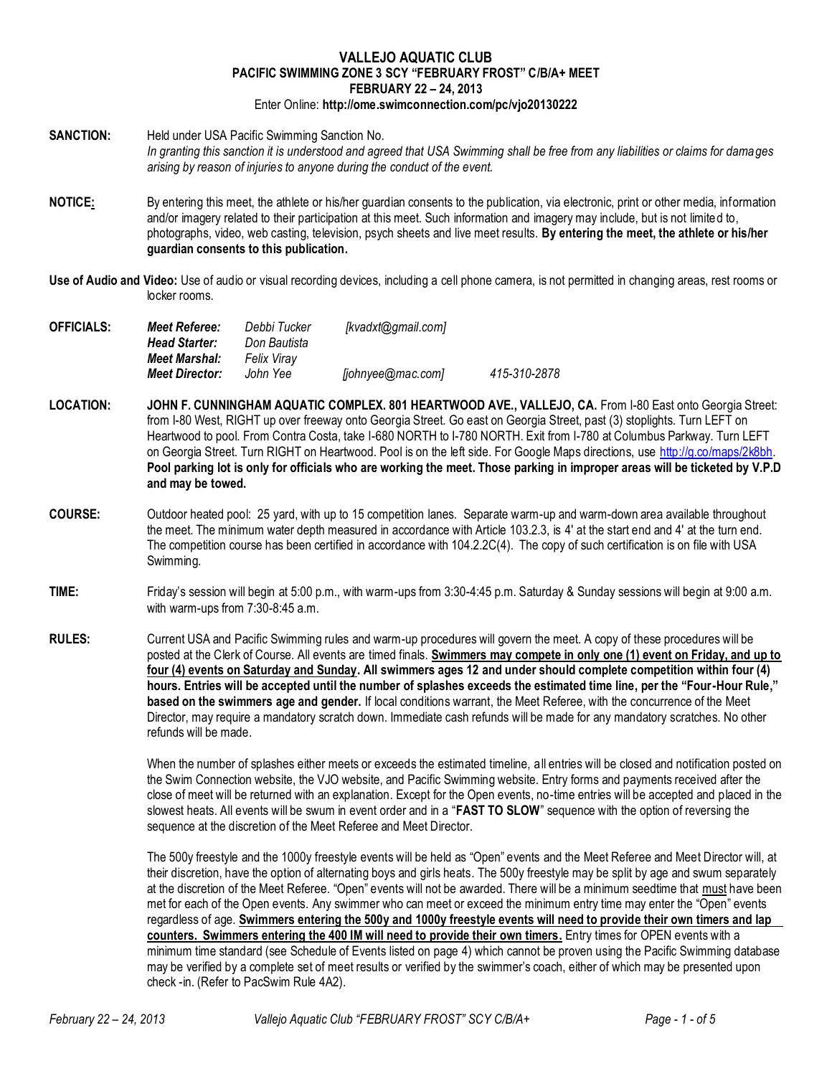## **VALLEJO AQUATIC CLUB PACIFIC SWIMMING ZONE 3 SCY "FEBRUARY FROST" C/B/A+ MEET FEBRUARY 22 – 24, 2013**

- Enter Online: **http://ome.swimconnection.com/pc/vjo20130222**
- **SANCTION:** Held under USA Pacific Swimming Sanction No. *In granting this sanction it is understood and agreed that USA Swimming shall be free from any liabilities or claims for damages arising by reason of injuries to anyone during the conduct of the event.*
- **NOTICE:** By entering this meet, the athlete or his/her guardian consents to the publication, via electronic, print or other media, information and/or imagery related to their participation at this meet. Such information and imagery may include, but is not limited to, photographs, video, web casting, television, psych sheets and live meet results. **By entering the meet, the athlete or his/her guardian consents to this publication.**
- **Use of Audio and Video:** Use of audio or visual recording devices, including a cell phone camera, is not permitted in changing areas, rest rooms or locker rooms.

| <b>OFFICIALS:</b> | Meet Referee:         | Debbi Tucker | [kvadxt@gmail.com] |              |
|-------------------|-----------------------|--------------|--------------------|--------------|
|                   | <b>Head Starter:</b>  | Don Bautista |                    |              |
|                   | <b>Meet Marshal:</b>  | Felix Virav  |                    |              |
|                   | <b>Meet Director:</b> | John Yee     | [johnyee@mac.com]  | 415-310-2878 |

- **LOCATION: JOHN F. CUNNINGHAM AQUATIC COMPLEX. 801 HEARTWOOD AVE., VALLEJO, CA.** From I-80 East onto Georgia Street: from I-80 West, RIGHT up over freeway onto Georgia Street. Go east on Georgia Street, past (3) stoplights. Turn LEFT on Heartwood to pool. From Contra Costa, take I-680 NORTH to I-780 NORTH. Exit from I-780 at Columbus Parkway. Turn LEFT on Georgia Street. Turn RIGHT on Heartwood. Pool is on the left side. For Google Maps directions, use [http://g.co/maps/2k8bh.](http://g.co/maps/2k8bh) **Pool parking lot is only for officials who are working the meet. Those parking in improper areas will be ticketed by V.P.D and may be towed.**
- **COURSE:** Outdoor heated pool: 25 yard, with up to 15 competition lanes. Separate warm-up and warm-down area available throughout the meet. The minimum water depth measured in accordance with Article 103.2.3, is 4' at the start end and 4' at the turn end. The competition course has been certified in accordance with 104.2.2C(4). The copy of such certification is on file with USA Swimming.
- **TIME:** Friday's session will begin at 5:00 p.m., with warm-ups from 3:30-4:45 p.m. Saturday & Sunday sessions will begin at 9:00 a.m. with warm-ups from 7:30-8:45 a.m.
- **RULES:** Current USA and Pacific Swimming rules and warm-up procedures will govern the meet. A copy of these procedures will be posted at the Clerk of Course. All events are timed finals. **Swimmers may compete in only one (1) event on Friday, and up to four (4) events on Saturday and Sunday. All swimmers ages 12 and under should complete competition within four (4) hours. Entries will be accepted until the number of splashes exceeds the estimated time line, per the "Four-Hour Rule," based on the swimmers age and gender.** If local conditions warrant, the Meet Referee, with the concurrence of the Meet Director, may require a mandatory scratch down. Immediate cash refunds will be made for any mandatory scratches. No other refunds will be made.

When the number of splashes either meets or exceeds the estimated timeline, all entries will be closed and notification posted on the Swim Connection website, the VJO website, and Pacific Swimming website. Entry forms and payments received after the close of meet will be returned with an explanation. Except for the Open events, no-time entries will be accepted and placed in the slowest heats. All events will be swum in event order and in a "**FAST TO SLOW**" sequence with the option of reversing the sequence at the discretion of the Meet Referee and Meet Director.

The 500y freestyle and the 1000y freestyle events will be held as "Open" events and the Meet Referee and Meet Director will, at their discretion, have the option of alternating boys and girls heats. The 500y freestyle may be split by age and swum separately at the discretion of the Meet Referee. "Open" events will not be awarded. There will be a minimum seedtime that must have been met for each of the Open events. Any swimmer who can meet or exceed the minimum entry time may enter the "Open" events regardless of age. **Swimmers entering the 500y and 1000y freestyle events will need to provide their own timers and lap counters. Swimmers entering the 400 IM will need to provide their own timers.** Entry times for OPEN events with a minimum time standard (see Schedule of Events listed on page 4) which cannot be proven using the Pacific Swimming database may be verified by a complete set of meet results or verified by the swimmer's coach, either of which may be presented upon check -in. (Refer to PacSwim Rule 4A2).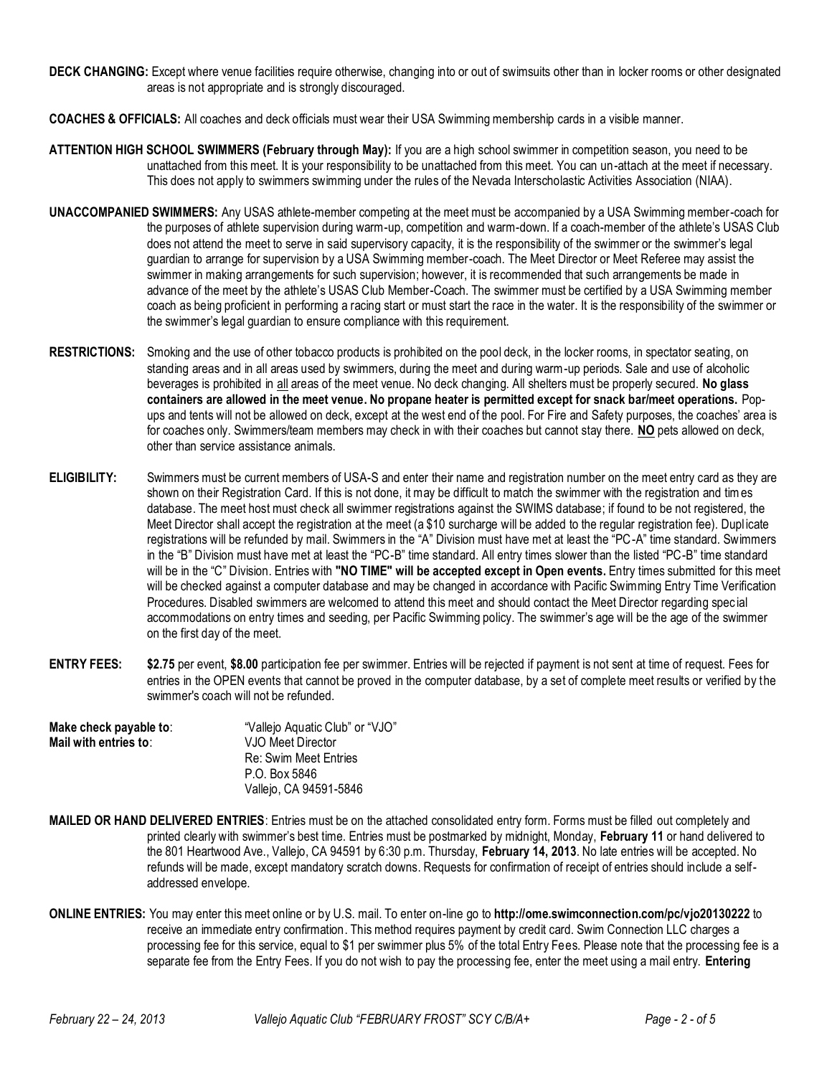- **DECK CHANGING:** Except where venue facilities require otherwise, changing into or out of swimsuits other than in locker rooms or other designated areas is not appropriate and is strongly discouraged.
- **COACHES & OFFICIALS:** All coaches and deck officials must wear their USA Swimming membership cards in a visible manner.
- **ATTENTION HIGH SCHOOL SWIMMERS (February through May):** If you are a high school swimmer in competition season, you need to be unattached from this meet. It is your responsibility to be unattached from this meet. You can un-attach at the meet if necessary. This does not apply to swimmers swimming under the rules of the Nevada Interscholastic Activities Association (NIAA).
- **UNACCOMPANIED SWIMMERS:** Any USAS athlete-member competing at the meet must be accompanied by a USA Swimming member-coach for the purposes of athlete supervision during warm-up, competition and warm-down. If a coach-member of the athlete's USAS Club does not attend the meet to serve in said supervisory capacity, it is the responsibility of the swimmer or the swimmer's legal guardian to arrange for supervision by a USA Swimming member-coach. The Meet Director or Meet Referee may assist the swimmer in making arrangements for such supervision; however, it is recommended that such arrangements be made in advance of the meet by the athlete's USAS Club Member-Coach. The swimmer must be certified by a USA Swimming member coach as being proficient in performing a racing start or must start the race in the water. It is the responsibility of the swimmer or the swimmer's legal guardian to ensure compliance with this requirement.
- **RESTRICTIONS:** Smoking and the use of other tobacco products is prohibited on the pool deck, in the locker rooms, in spectator seating, on standing areas and in all areas used by swimmers, during the meet and during warm-up periods. Sale and use of alcoholic beverages is prohibited in all areas of the meet venue. No deck changing. All shelters must be properly secured. **No glass containers are allowed in the meet venue. No propane heater is permitted except for snack bar/meet operations.** Popups and tents will not be allowed on deck, except at the west end of the pool. For Fire and Safety purposes, the coaches' area is for coaches only. Swimmers/team members may check in with their coaches but cannot stay there. **NO** pets allowed on deck, other than service assistance animals.
- **ELIGIBILITY:** Swimmers must be current members of USA-S and enter their name and registration number on the meet entry card as they are shown on their Registration Card. If this is not done, it may be difficult to match the swimmer with the registration and times database. The meet host must check all swimmer registrations against the SWIMS database; if found to be not registered, the Meet Director shall accept the registration at the meet (a \$10 surcharge will be added to the regular registration fee). Duplicate registrations will be refunded by mail. Swimmers in the "A" Division must have met at least the "PC-A" time standard. Swimmers in the "B" Division must have met at least the "PC-B" time standard. All entry times slower than the listed "PC-B" time standard will be in the "C" Division. Entries with **"NO TIME" will be accepted except in Open events.** Entry times submitted for this meet will be checked against a computer database and may be changed in accordance with Pacific Swimming Entry Time Verification Procedures. Disabled swimmers are welcomed to attend this meet and should contact the Meet Director regarding spec ial accommodations on entry times and seeding, per Pacific Swimming policy. The swimmer's age will be the age of the swimmer on the first day of the meet.
- **ENTRY FEES: \$2.75** per event, **\$8.00** participation fee per swimmer. Entries will be rejected if payment is not sent at time of request. Fees for entries in the OPEN events that cannot be proved in the computer database, by a set of complete meet results or verified by the swimmer's coach will not be refunded.
- **Make check payable to:** "Vallejo Aquatic Club" or "VJO" **Mail with entries to**: VJO Meet Director Re: Swim Meet Entries P.O. Box 5846 Vallejo, CA 94591-5846
- **MAILED OR HAND DELIVERED ENTRIES**: Entries must be on the attached consolidated entry form. Forms must be filled out completely and printed clearly with swimmer's best time. Entries must be postmarked by midnight, Monday, **February 11** or hand delivered to the 801 Heartwood Ave., Vallejo, CA 94591 by 6:30 p.m. Thursday, **February 14, 2013**. No late entries will be accepted. No refunds will be made, except mandatory scratch downs. Requests for confirmation of receipt of entries should include a selfaddressed envelope.
- **ONLINE ENTRIES:** You may enter this meet online or by U.S. mail. To enter on-line go to **http://ome.swimconnection.com/pc/vjo20130222** to receive an immediate entry confirmation. This method requires payment by credit card. Swim Connection LLC charges a processing fee for this service, equal to \$1 per swimmer plus 5% of the total Entry Fees. Please note that the processing fee is a separate fee from the Entry Fees. If you do not wish to pay the processing fee, enter the meet using a mail entry. **Entering**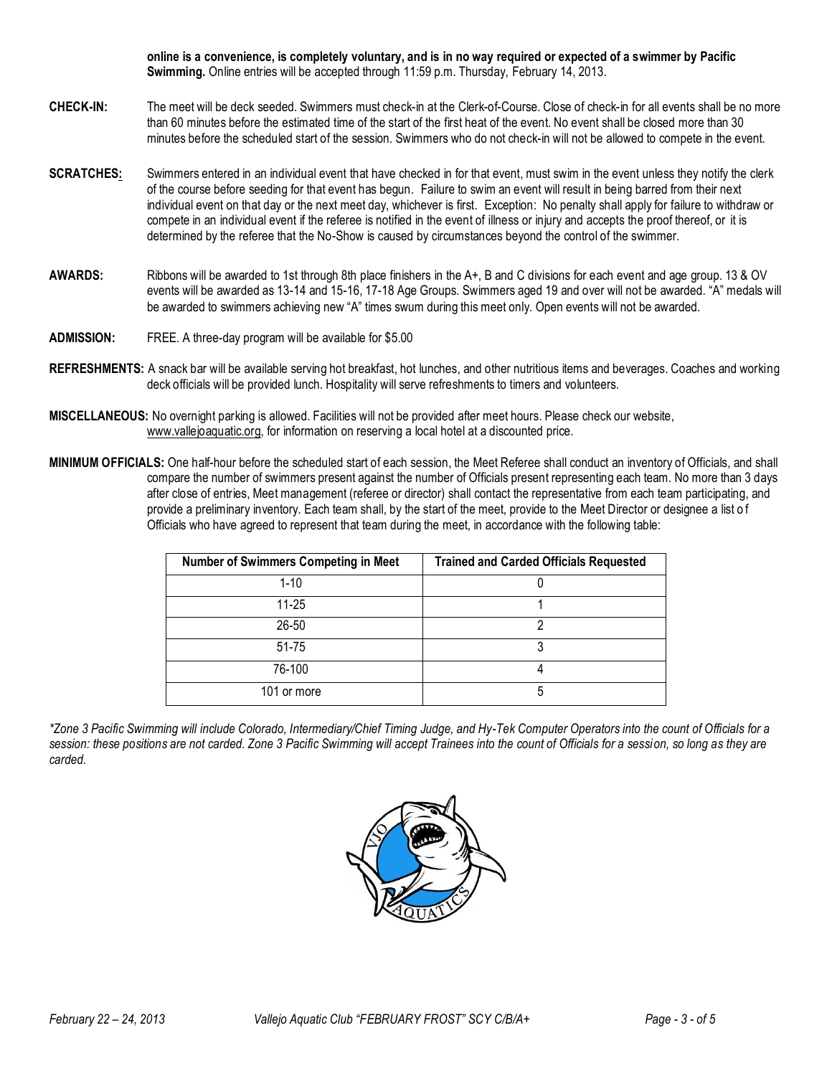**online is a convenience, is completely voluntary, and is in no way required or expected of a swimmer by Pacific Swimming.** Online entries will be accepted through 11:59 p.m. Thursday, February 14, 2013.

- **CHECK-IN:** The meet will be deck seeded. Swimmers must check-in at the Clerk-of-Course. Close of check-in for all events shall be no more than 60 minutes before the estimated time of the start of the first heat of the event. No event shall be closed more than 30 minutes before the scheduled start of the session. Swimmers who do not check-in will not be allowed to compete in the event.
- **SCRATCHES:** Swimmers entered in an individual event that have checked in for that event, must swim in the event unless they notify the clerk of the course before seeding for that event has begun. Failure to swim an event will result in being barred from their next individual event on that day or the next meet day, whichever is first. Exception: No penalty shall apply for failure to withdraw or compete in an individual event if the referee is notified in the event of illness or injury and accepts the proof thereof, or it is determined by the referee that the No-Show is caused by circumstances beyond the control of the swimmer.
- **AWARDS:** Ribbons will be awarded to 1st through 8th place finishers in the A+, B and C divisions for each event and age group. 13 & OV events will be awarded as 13-14 and 15-16, 17-18 Age Groups. Swimmers aged 19 and over will not be awarded. "A" medals will be awarded to swimmers achieving new "A" times swum during this meet only. Open events will not be awarded.
- **ADMISSION:** FREE. A three-day program will be available for \$5.00
- **REFRESHMENTS:** A snack bar will be available serving hot breakfast, hot lunches, and other nutritious items and beverages. Coaches and working deck officials will be provided lunch. Hospitality will serve refreshments to timers and volunteers.
- **MISCELLANEOUS:** No overnight parking is allowed. Facilities will not be provided after meet hours. Please check our website, www.vallejoaquatic.org, for information on reserving a local hotel at a discounted price.
- **MINIMUM OFFICIALS:** One half-hour before the scheduled start of each session, the Meet Referee shall conduct an inventory of Officials, and shall compare the number of swimmers present against the number of Officials present representing each team. No more than 3 days after close of entries, Meet management (referee or director) shall contact the representative from each team participating, and provide a preliminary inventory. Each team shall, by the start of the meet, provide to the Meet Director or designee a list of Officials who have agreed to represent that team during the meet, in accordance with the following table:

| <b>Number of Swimmers Competing in Meet</b> | <b>Trained and Carded Officials Requested</b> |  |  |  |  |  |
|---------------------------------------------|-----------------------------------------------|--|--|--|--|--|
| $1 - 10$                                    |                                               |  |  |  |  |  |
| $11 - 25$                                   |                                               |  |  |  |  |  |
| 26-50                                       | າ                                             |  |  |  |  |  |
| 51-75                                       | 3                                             |  |  |  |  |  |
| 76-100                                      |                                               |  |  |  |  |  |
| 101 or more                                 | 5                                             |  |  |  |  |  |

*\*Zone 3 Pacific Swimming will include Colorado, Intermediary/Chief Timing Judge, and Hy-Tek Computer Operators into the count of Officials for a session: these positions are not carded. Zone 3 Pacific Swimming will accept Trainees into the count of Officials for a session, so long as they are carded.*

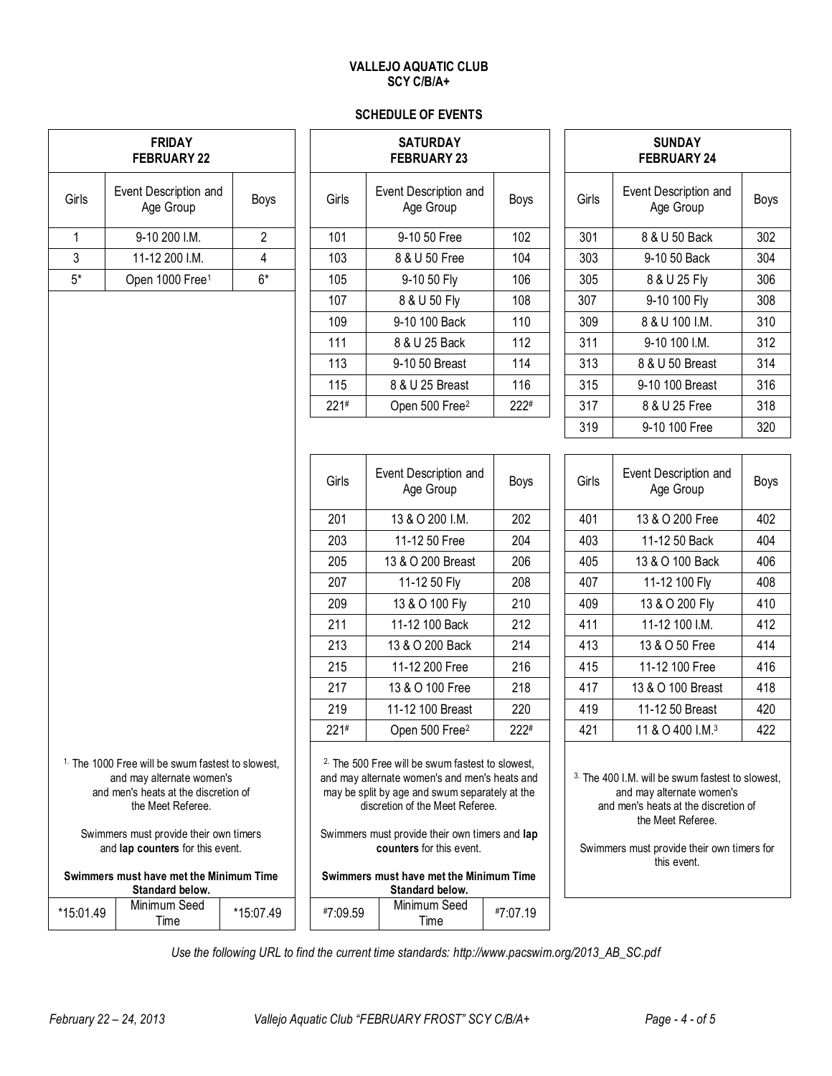## **VALLEJO AQUATIC CLUB SCY C/B/A+**

## **SCHEDULE OF EVENTS**

| <b>FRIDAY</b><br><b>FEBRUARY 22</b>                                                                                                                                                                                                  |                                    |                |          | <b>SATURDAY</b><br><b>FEBRUARY 23</b>                                                                                                                                                                                                                                          |          | <b>SUNDAY</b><br><b>FEBRUARY 24</b> |                                                                                                                                                                                                                    |      |  |
|--------------------------------------------------------------------------------------------------------------------------------------------------------------------------------------------------------------------------------------|------------------------------------|----------------|----------|--------------------------------------------------------------------------------------------------------------------------------------------------------------------------------------------------------------------------------------------------------------------------------|----------|-------------------------------------|--------------------------------------------------------------------------------------------------------------------------------------------------------------------------------------------------------------------|------|--|
| Girls                                                                                                                                                                                                                                | Event Description and<br>Age Group | Boys           | Girls    | Event Description and<br>Age Group                                                                                                                                                                                                                                             | Boys     | Girls                               | Event Description and<br>Age Group                                                                                                                                                                                 | Boys |  |
| $\mathbf{1}$                                                                                                                                                                                                                         | 9-10 200 I.M.                      | $\overline{2}$ | 101      | 9-10 50 Free                                                                                                                                                                                                                                                                   | 102      | 301                                 | 8 & U 50 Back                                                                                                                                                                                                      | 302  |  |
| $\mathfrak{Z}$                                                                                                                                                                                                                       | 11-12 200 I.M.                     | 4              | 103      | 8 & U 50 Free                                                                                                                                                                                                                                                                  |          | 303                                 | 9-10 50 Back                                                                                                                                                                                                       | 304  |  |
| $5*$                                                                                                                                                                                                                                 | Open 1000 Free <sup>1</sup>        | $6*$           | 105      | 9-10 50 Fly                                                                                                                                                                                                                                                                    | 106      | 305                                 | 8 & U 25 Fly                                                                                                                                                                                                       | 306  |  |
|                                                                                                                                                                                                                                      |                                    |                | 107      | 8 & U 50 Fly                                                                                                                                                                                                                                                                   | 108      | 307                                 | 9-10 100 Fly                                                                                                                                                                                                       | 308  |  |
|                                                                                                                                                                                                                                      |                                    |                | 109      | 9-10 100 Back                                                                                                                                                                                                                                                                  | 110      | 309                                 | 8 & U 100 I.M.                                                                                                                                                                                                     | 310  |  |
|                                                                                                                                                                                                                                      |                                    |                | 111      | 8 & U 25 Back                                                                                                                                                                                                                                                                  | 112      | 311                                 | 9-10 100 I.M.                                                                                                                                                                                                      | 312  |  |
|                                                                                                                                                                                                                                      |                                    |                | 113      | 9-10 50 Breast                                                                                                                                                                                                                                                                 | 114      | 313                                 | 8 & U 50 Breast                                                                                                                                                                                                    | 314  |  |
|                                                                                                                                                                                                                                      |                                    |                | 115      | 8 & U 25 Breast                                                                                                                                                                                                                                                                | 116      | 315                                 | 9-10 100 Breast                                                                                                                                                                                                    | 316  |  |
|                                                                                                                                                                                                                                      |                                    |                | 221#     | Open 500 Free <sup>2</sup>                                                                                                                                                                                                                                                     | 222#     | 317                                 | 8 & U 25 Free                                                                                                                                                                                                      | 318  |  |
|                                                                                                                                                                                                                                      |                                    |                |          |                                                                                                                                                                                                                                                                                |          | 319                                 | 9-10 100 Free                                                                                                                                                                                                      | 320  |  |
|                                                                                                                                                                                                                                      |                                    |                |          |                                                                                                                                                                                                                                                                                |          |                                     |                                                                                                                                                                                                                    |      |  |
|                                                                                                                                                                                                                                      |                                    |                | Girls    | Event Description and<br>Age Group                                                                                                                                                                                                                                             | Boys     | Girls                               | Event Description and<br>Age Group                                                                                                                                                                                 | Boys |  |
|                                                                                                                                                                                                                                      |                                    |                | 201      | 13 & O 200 I.M.                                                                                                                                                                                                                                                                | 202      | 401                                 | 13 & O 200 Free                                                                                                                                                                                                    | 402  |  |
|                                                                                                                                                                                                                                      |                                    |                | 203      | 11-12 50 Free                                                                                                                                                                                                                                                                  | 204      | 403                                 | 11-12 50 Back                                                                                                                                                                                                      | 404  |  |
|                                                                                                                                                                                                                                      |                                    |                | 205      | 13 & O 200 Breast                                                                                                                                                                                                                                                              | 206      | 405                                 | 13 & O 100 Back                                                                                                                                                                                                    | 406  |  |
|                                                                                                                                                                                                                                      |                                    |                | 207      | 11-12 50 Fly                                                                                                                                                                                                                                                                   | 208      | 407                                 | 11-12 100 Fly                                                                                                                                                                                                      | 408  |  |
|                                                                                                                                                                                                                                      |                                    |                | 209      | 13 & O 100 Fly                                                                                                                                                                                                                                                                 | 210      | 409                                 | 13 & O 200 Fly                                                                                                                                                                                                     | 410  |  |
|                                                                                                                                                                                                                                      |                                    |                | 211      | 11-12 100 Back                                                                                                                                                                                                                                                                 | 212      | 411                                 | 11-12 100 I.M.                                                                                                                                                                                                     | 412  |  |
|                                                                                                                                                                                                                                      |                                    |                | 213      | 13 & O 200 Back                                                                                                                                                                                                                                                                | 214      | 413                                 | 13 & O 50 Free                                                                                                                                                                                                     | 414  |  |
|                                                                                                                                                                                                                                      |                                    |                | 215      | 11-12 200 Free                                                                                                                                                                                                                                                                 | 216      | 415                                 | 11-12 100 Free                                                                                                                                                                                                     | 416  |  |
|                                                                                                                                                                                                                                      |                                    |                | 217      | 13 & O 100 Free                                                                                                                                                                                                                                                                | 218      | 417                                 | 13 & O 100 Breast                                                                                                                                                                                                  | 418  |  |
|                                                                                                                                                                                                                                      |                                    |                | 219      | 11-12 100 Breast                                                                                                                                                                                                                                                               | 220      | 419                                 | 11-12 50 Breast                                                                                                                                                                                                    | 420  |  |
|                                                                                                                                                                                                                                      |                                    |                | 221#     | Open 500 Free <sup>2</sup>                                                                                                                                                                                                                                                     | 222#     | 421                                 | 11 & O 400 I.M. <sup>3</sup>                                                                                                                                                                                       | 422  |  |
| <sup>1.</sup> The 1000 Free will be swum fastest to slowest,<br>and may alternate women's<br>and men's heats at the discretion of<br>the Meet Referee.<br>Swimmers must provide their own timers<br>and lap counters for this event. |                                    |                |          | <sup>2</sup> The 500 Free will be swum fastest to slowest.<br>and may alternate women's and men's heats and<br>may be split by age and swum separately at the<br>discretion of the Meet Referee.<br>Swimmers must provide their own timers and lap<br>counters for this event. |          |                                     | <sup>3.</sup> The 400 I.M. will be swum fastest to slowest.<br>and may alternate women's<br>and men's heats at the discretion of<br>the Meet Referee.<br>Swimmers must provide their own timers for<br>this event. |      |  |
| Swimmers must have met the Minimum Time<br>Standard below.                                                                                                                                                                           |                                    |                |          | Swimmers must have met the Minimum Time<br>Standard below.                                                                                                                                                                                                                     |          |                                     |                                                                                                                                                                                                                    |      |  |
| *15:01.49                                                                                                                                                                                                                            | Minimum Seed<br>Time               | *15:07.49      | #7:09.59 | Minimum Seed<br>Time                                                                                                                                                                                                                                                           | #7:07.19 |                                     |                                                                                                                                                                                                                    |      |  |

*Use the following URL to find the current time standards: http://www.pacswim.org/2013\_AB\_SC.pdf*